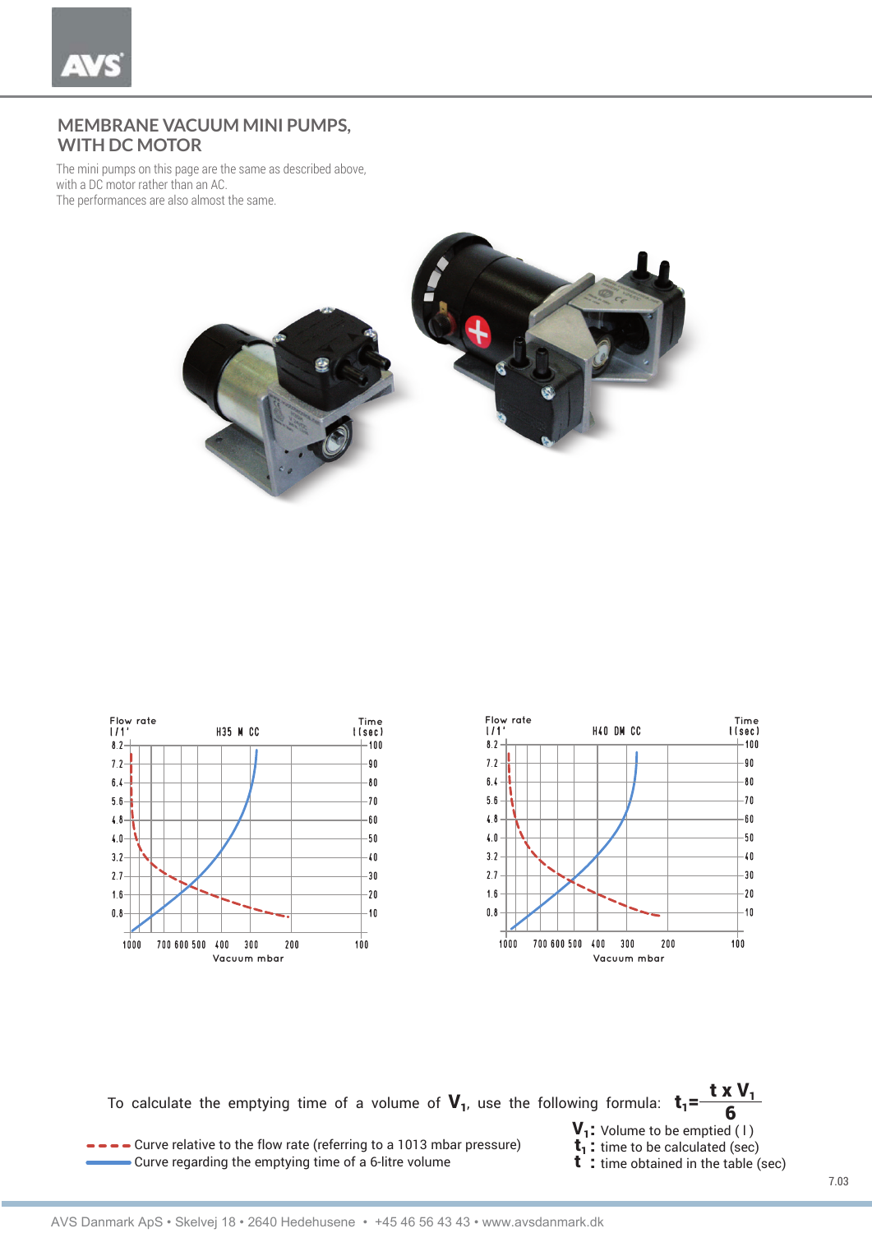## **MEMBRANE VACUUM MINI PUMPS, WITH DC MOTOR**

The mini pumps on this page are the same as described above, with a DC motor rather than an AC. The performances are also almost the same.







To calculate the emptying time of a volume of  $\bf V_1$ , use the following formula:  $\bf t_1\bf=\frac{t\bm{\times}V_1}{6}$ 6

- **CULTE 1** Curve relative to the flow rate (referring to a 1013 mbar pressure) **the flow rate (referring to a 1013** mbar pressure) **t**<br>Curve regarding the emptying time of a 6-litre volume **t** : time obtained in the table  $\blacktriangleright$  Curve regarding the emptying time of a 6-litre volume
	-
	-
	-